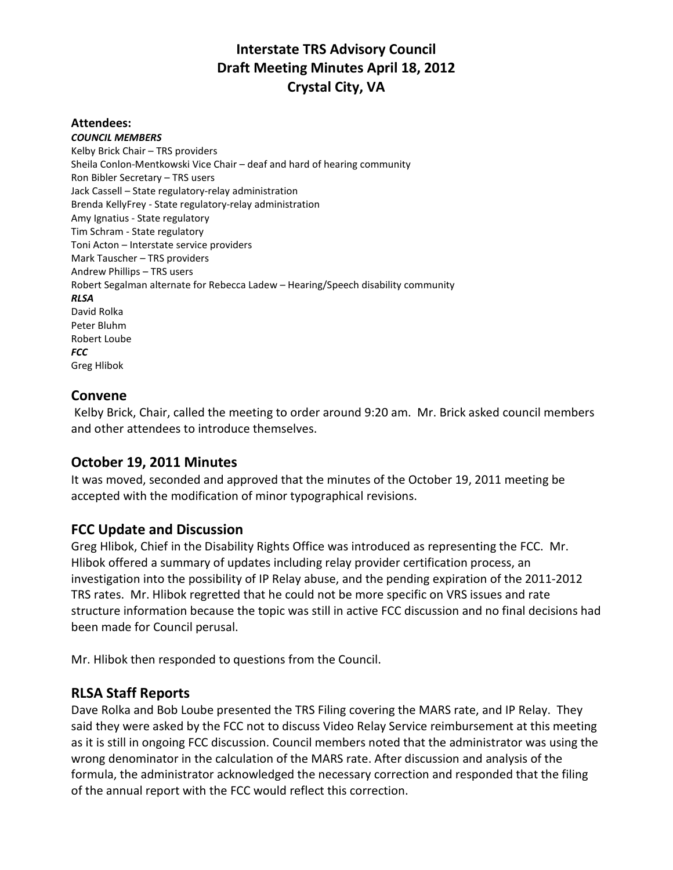## **Interstate TRS Advisory Council Draft Meeting Minutes April 18, 2012 Crystal City, VA**

#### **Attendees:**

*COUNCIL MEMBERS* Kelby Brick Chair – TRS providers Sheila Conlon-Mentkowski Vice Chair – deaf and hard of hearing community Ron Bibler Secretary – TRS users Jack Cassell – State regulatory-relay administration Brenda KellyFrey - State regulatory-relay administration Amy Ignatius - State regulatory Tim Schram - State regulatory Toni Acton – Interstate service providers Mark Tauscher – TRS providers Andrew Phillips – TRS users Robert Segalman alternate for Rebecca Ladew – Hearing/Speech disability community *RLSA* David Rolka Peter Bluhm Robert Loube *FCC* Greg Hlibok

#### **Convene**

Kelby Brick, Chair, called the meeting to order around 9:20 am. Mr. Brick asked council members and other attendees to introduce themselves.

#### **October 19, 2011 Minutes**

It was moved, seconded and approved that the minutes of the October 19, 2011 meeting be accepted with the modification of minor typographical revisions.

#### **FCC Update and Discussion**

Greg Hlibok, Chief in the Disability Rights Office was introduced as representing the FCC. Mr. Hlibok offered a summary of updates including relay provider certification process, an investigation into the possibility of IP Relay abuse, and the pending expiration of the 2011-2012 TRS rates. Mr. Hlibok regretted that he could not be more specific on VRS issues and rate structure information because the topic was still in active FCC discussion and no final decisions had been made for Council perusal.

Mr. Hlibok then responded to questions from the Council.

#### **RLSA Staff Reports**

Dave Rolka and Bob Loube presented the TRS Filing covering the MARS rate, and IP Relay. They said they were asked by the FCC not to discuss Video Relay Service reimbursement at this meeting as it is still in ongoing FCC discussion. Council members noted that the administrator was using the wrong denominator in the calculation of the MARS rate. After discussion and analysis of the formula, the administrator acknowledged the necessary correction and responded that the filing of the annual report with the FCC would reflect this correction.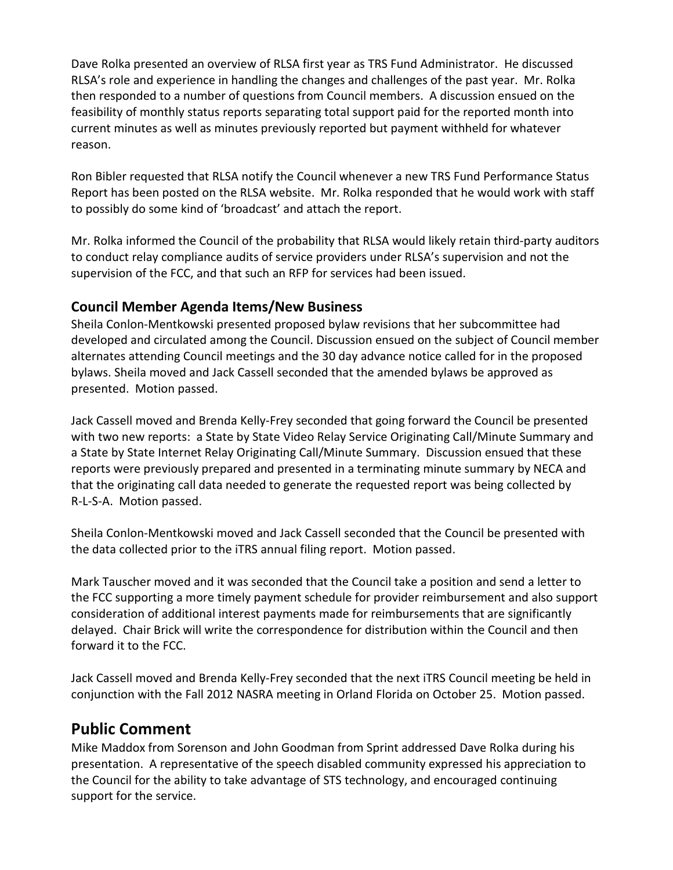Dave Rolka presented an overview of RLSA first year as TRS Fund Administrator. He discussed RLSA's role and experience in handling the changes and challenges of the past year. Mr. Rolka then responded to a number of questions from Council members. A discussion ensued on the feasibility of monthly status reports separating total support paid for the reported month into current minutes as well as minutes previously reported but payment withheld for whatever reason.

Ron Bibler requested that RLSA notify the Council whenever a new TRS Fund Performance Status Report has been posted on the RLSA website. Mr. Rolka responded that he would work with staff to possibly do some kind of 'broadcast' and attach the report.

Mr. Rolka informed the Council of the probability that RLSA would likely retain third-party auditors to conduct relay compliance audits of service providers under RLSA's supervision and not the supervision of the FCC, and that such an RFP for services had been issued.

### **Council Member Agenda Items/New Business**

Sheila Conlon-Mentkowski presented proposed bylaw revisions that her subcommittee had developed and circulated among the Council. Discussion ensued on the subject of Council member alternates attending Council meetings and the 30 day advance notice called for in the proposed bylaws. Sheila moved and Jack Cassell seconded that the amended bylaws be approved as presented. Motion passed.

Jack Cassell moved and Brenda Kelly-Frey seconded that going forward the Council be presented with two new reports: a State by State Video Relay Service Originating Call/Minute Summary and a State by State Internet Relay Originating Call/Minute Summary. Discussion ensued that these reports were previously prepared and presented in a terminating minute summary by NECA and that the originating call data needed to generate the requested report was being collected by R-L-S-A. Motion passed.

Sheila Conlon-Mentkowski moved and Jack Cassell seconded that the Council be presented with the data collected prior to the iTRS annual filing report. Motion passed.

Mark Tauscher moved and it was seconded that the Council take a position and send a letter to the FCC supporting a more timely payment schedule for provider reimbursement and also support consideration of additional interest payments made for reimbursements that are significantly delayed. Chair Brick will write the correspondence for distribution within the Council and then forward it to the FCC.

Jack Cassell moved and Brenda Kelly-Frey seconded that the next iTRS Council meeting be held in conjunction with the Fall 2012 NASRA meeting in Orland Florida on October 25. Motion passed.

## **Public Comment**

Mike Maddox from Sorenson and John Goodman from Sprint addressed Dave Rolka during his presentation. A representative of the speech disabled community expressed his appreciation to the Council for the ability to take advantage of STS technology, and encouraged continuing support for the service.